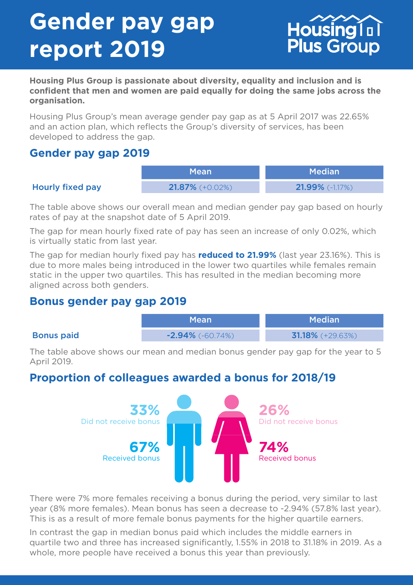# **Gender pay gap report 2019**



**Housing Plus Group is passionate about diversity, equality and inclusion and is confident that men and women are paid equally for doing the same jobs across the organisation.** 

Housing Plus Group's mean average gender pay gap as at 5 April 2017 was 22.65% and an action plan, which reflects the Group's diversity of services, has been developed to address the gap.

### **Gender pay gap 2019**

|                  | <b>Mean</b>              | Median!                  |
|------------------|--------------------------|--------------------------|
| Hourly fixed pay | <b>21.87%</b> $(+0.02%)$ | <b>21.99%</b> $(-1.17%)$ |

The table above shows our overall mean and median gender pay gap based on hourly rates of pay at the snapshot date of 5 April 2019.

The gap for mean hourly fixed rate of pay has seen an increase of only 0.02%, which is virtually static from last year.

The gap for median hourly fixed pay has **reduced to 21.99%** (last year 23.16%). This is due to more males being introduced in the lower two quartiles while females remain static in the upper two quartiles. This has resulted in the median becoming more aligned across both genders.

#### **Bonus gender pay gap 2019**

|                   | <b>Mean</b>         | <b>Median</b>       |
|-------------------|---------------------|---------------------|
| <b>Bonus paid</b> | $-2.94\%$ (-60.74%) | $31.18\%$ (+29.63%) |

The table above shows our mean and median bonus gender pay gap for the year to 5 April 2019.

## **Proportion of colleagues awarded a bonus for 2018/19**



There were 7% more females receiving a bonus during the period, very similar to last year (8% more females). Mean bonus has seen a decrease to -2.94% (57.8% last year). This is as a result of more female bonus payments for the higher quartile earners.

In contrast the gap in median bonus paid which includes the middle earners in quartile two and three has increased significantly, 1.55% in 2018 to 31.18% in 2019. As a whole, more people have received a bonus this year than previously.